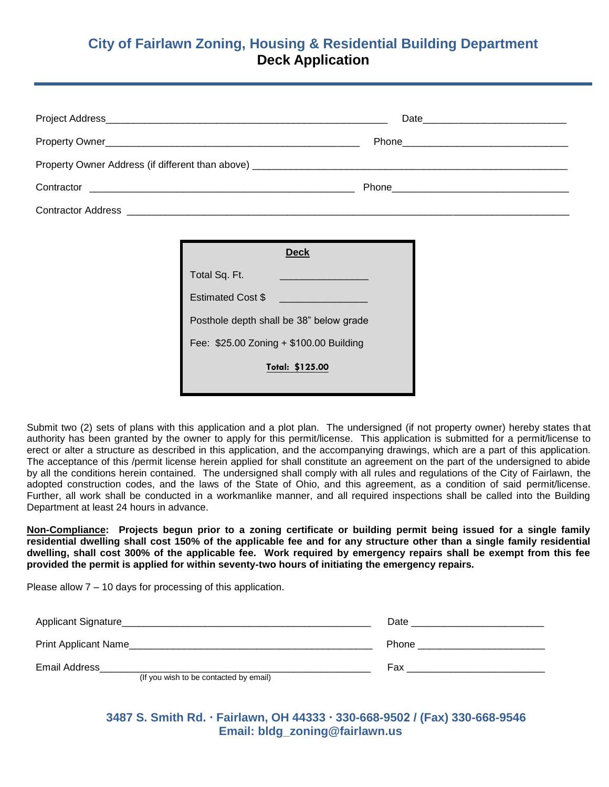# **City of Fairlawn Zoning, Housing & Residential Building Department Deck Application**

| <b>Contractor Address Contractor Address Contractor Address Contractor Address Contractor Address Contractor Address Contractor Address Contractor Address Contractor Address Contractor Address Contractor Address Contractor A</b> |  |
|--------------------------------------------------------------------------------------------------------------------------------------------------------------------------------------------------------------------------------------|--|

| Deck                                    |  |  |
|-----------------------------------------|--|--|
| Total Sq. Ft.                           |  |  |
| <b>Estimated Cost \$</b>                |  |  |
| Posthole depth shall be 38" below grade |  |  |
| Fee: \$25.00 Zoning + \$100.00 Building |  |  |
| Total: \$125.00                         |  |  |

Submit two (2) sets of plans with this application and a plot plan. The undersigned (if not property owner) hereby states that authority has been granted by the owner to apply for this permit/license. This application is submitted for a permit/license to erect or alter a structure as described in this application, and the accompanying drawings, which are a part of this application. The acceptance of this /permit license herein applied for shall constitute an agreement on the part of the undersigned to abide by all the conditions herein contained. The undersigned shall comply with all rules and regulations of the City of Fairlawn, the adopted construction codes, and the laws of the State of Ohio, and this agreement, as a condition of said permit/license. Further, all work shall be conducted in a workmanlike manner, and all required inspections shall be called into the Building Department at least 24 hours in advance.

**Non-Compliance: Projects begun prior to a zoning certificate or building permit being issued for a single family residential dwelling shall cost 150% of the applicable fee and for any structure other than a single family residential dwelling, shall cost 300% of the applicable fee. Work required by emergency repairs shall be exempt from this fee provided the permit is applied for within seventy-two hours of initiating the emergency repairs.** 

Please allow 7 – 10 days for processing of this application.

| Applicant Signature                                     | Date  |
|---------------------------------------------------------|-------|
| Print Applicant Name                                    | Phone |
| Email Address<br>(If you wish to be contacted by email) | Fax   |

 **3487 S. Smith Rd. Fairlawn, OH 44333 330-668-9502 / (Fax) 330-668-9546 Email: bldg\_zoning@fairlawn.us**